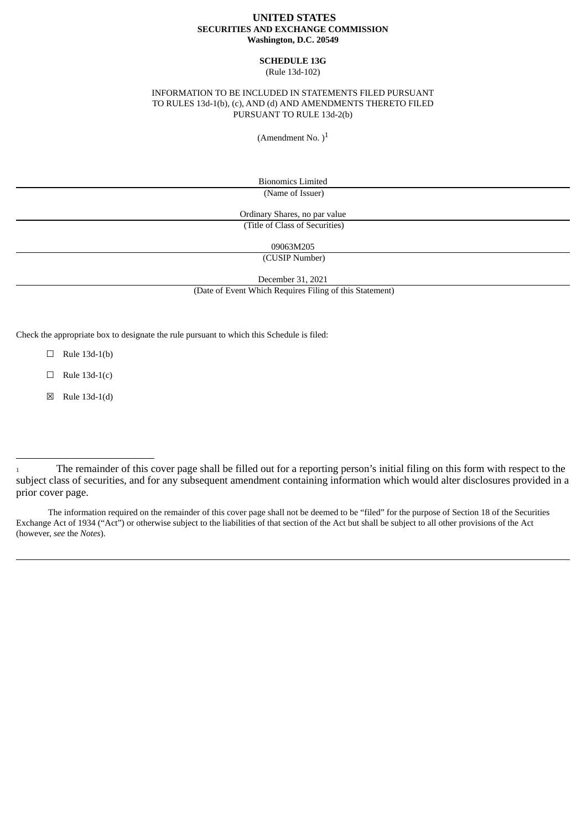## **UNITED STATES SECURITIES AND EXCHANGE COMMISSION Washington, D.C. 20549**

### **SCHEDULE 13G** (Rule 13d-102)

## INFORMATION TO BE INCLUDED IN STATEMENTS FILED PURSUANT TO RULES 13d-1(b), (c), AND (d) AND AMENDMENTS THERETO FILED PURSUANT TO RULE 13d-2(b)

(Amendment No.  $)^1$ 

Bionomics Limited (Name of Issuer)

Ordinary Shares, no par value (Title of Class of Securities)

09063M205

(CUSIP Number)

December 31, 2021

(Date of Event Which Requires Filing of this Statement)

Check the appropriate box to designate the rule pursuant to which this Schedule is filed:

 $\Box$  Rule 13d-1(b)

 $\Box$  Rule 13d-1(c)

☒ Rule 13d-1(d)

The information required on the remainder of this cover page shall not be deemed to be "filed" for the purpose of Section 18 of the Securities Exchange Act of 1934 ("Act") or otherwise subject to the liabilities of that section of the Act but shall be subject to all other provisions of the Act (however, *see* the *Notes*).

<sup>1</sup> The remainder of this cover page shall be filled out for a reporting person's initial filing on this form with respect to the subject class of securities, and for any subsequent amendment containing information which would alter disclosures provided in a prior cover page.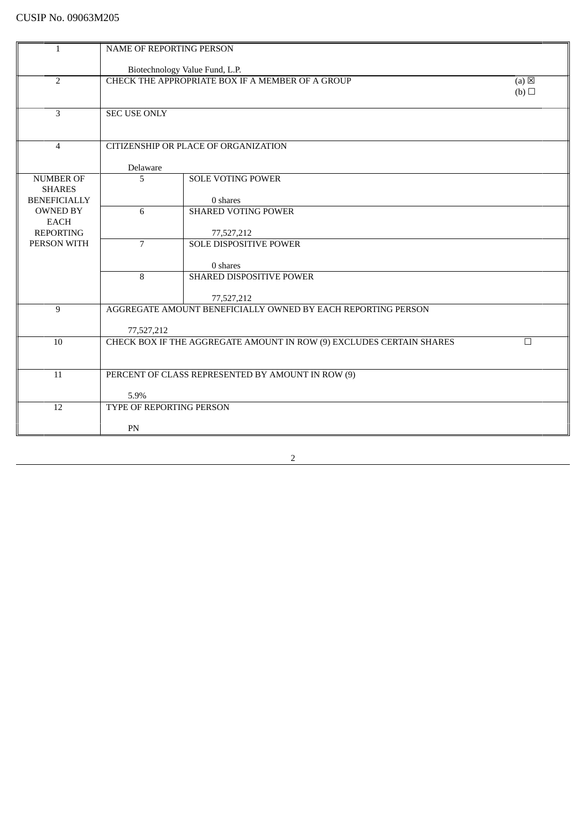| $\mathbf{1}$                         | <b>NAME OF REPORTING PERSON</b> |                                                                      |                 |
|--------------------------------------|---------------------------------|----------------------------------------------------------------------|-----------------|
|                                      |                                 | Biotechnology Value Fund, L.P.                                       |                 |
| $\overline{2}$                       |                                 | CHECK THE APPROPRIATE BOX IF A MEMBER OF A GROUP                     | $(a) \boxtimes$ |
|                                      |                                 |                                                                      | (b)             |
| 3                                    | <b>SEC USE ONLY</b>             |                                                                      |                 |
|                                      |                                 |                                                                      |                 |
| $\overline{4}$                       |                                 | CITIZENSHIP OR PLACE OF ORGANIZATION                                 |                 |
|                                      | Delaware                        |                                                                      |                 |
| <b>NUMBER OF</b>                     | 5                               | <b>SOLE VOTING POWER</b>                                             |                 |
| <b>SHARES</b><br><b>BENEFICIALLY</b> |                                 | 0 shares                                                             |                 |
| <b>OWNED BY</b>                      | 6                               | <b>SHARED VOTING POWER</b>                                           |                 |
| <b>EACH</b><br><b>REPORTING</b>      |                                 | 77,527,212                                                           |                 |
| PERSON WITH                          | $\overline{7}$                  | <b>SOLE DISPOSITIVE POWER</b>                                        |                 |
|                                      |                                 | 0 shares                                                             |                 |
|                                      | 8                               | SHARED DISPOSITIVE POWER                                             |                 |
|                                      |                                 | 77,527,212                                                           |                 |
| 9                                    |                                 | AGGREGATE AMOUNT BENEFICIALLY OWNED BY EACH REPORTING PERSON         |                 |
|                                      | 77,527,212                      |                                                                      |                 |
| 10                                   |                                 | CHECK BOX IF THE AGGREGATE AMOUNT IN ROW (9) EXCLUDES CERTAIN SHARES | $\Box$          |
|                                      |                                 |                                                                      |                 |
| 11                                   |                                 | PERCENT OF CLASS REPRESENTED BY AMOUNT IN ROW (9)                    |                 |
|                                      | 5.9%                            |                                                                      |                 |
| 12                                   | TYPE OF REPORTING PERSON        |                                                                      |                 |
|                                      | PN                              |                                                                      |                 |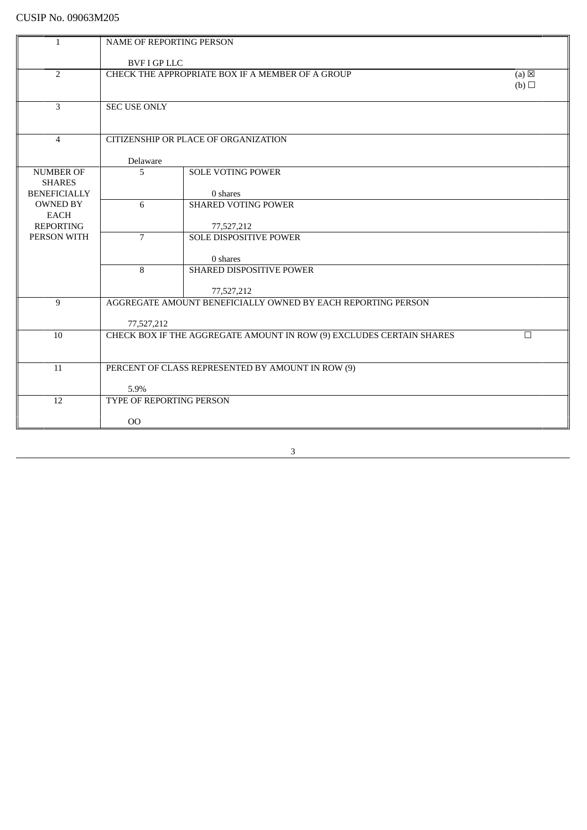| 1                               | NAME OF REPORTING PERSON        |                                                                            |                        |
|---------------------------------|---------------------------------|----------------------------------------------------------------------------|------------------------|
|                                 |                                 |                                                                            |                        |
| $\overline{2}$                  | <b>BVF I GP LLC</b>             |                                                                            |                        |
|                                 |                                 | CHECK THE APPROPRIATE BOX IF A MEMBER OF A GROUP                           | $(a) \boxtimes$<br>(b) |
|                                 |                                 |                                                                            |                        |
| $\overline{3}$                  | <b>SEC USE ONLY</b>             |                                                                            |                        |
|                                 |                                 |                                                                            |                        |
|                                 |                                 |                                                                            |                        |
| $\overline{4}$                  |                                 | CITIZENSHIP OR PLACE OF ORGANIZATION                                       |                        |
|                                 | Delaware                        |                                                                            |                        |
| <b>NUMBER OF</b>                | 5                               | <b>SOLE VOTING POWER</b>                                                   |                        |
| <b>SHARES</b>                   |                                 |                                                                            |                        |
| <b>BENEFICIALLY</b>             |                                 | 0 shares                                                                   |                        |
| <b>OWNED BY</b>                 | 6                               | <b>SHARED VOTING POWER</b>                                                 |                        |
| <b>EACH</b><br><b>REPORTING</b> |                                 | 77,527,212                                                                 |                        |
| PERSON WITH                     | $\overline{7}$                  | <b>SOLE DISPOSITIVE POWER</b>                                              |                        |
|                                 |                                 |                                                                            |                        |
|                                 |                                 | 0 shares                                                                   |                        |
|                                 | 8                               | SHARED DISPOSITIVE POWER                                                   |                        |
|                                 |                                 |                                                                            |                        |
| 9                               |                                 | 77,527,212<br>AGGREGATE AMOUNT BENEFICIALLY OWNED BY EACH REPORTING PERSON |                        |
|                                 |                                 |                                                                            |                        |
|                                 | 77,527,212                      |                                                                            |                        |
| 10                              |                                 | CHECK BOX IF THE AGGREGATE AMOUNT IN ROW (9) EXCLUDES CERTAIN SHARES       | $\Box$                 |
|                                 |                                 |                                                                            |                        |
|                                 |                                 |                                                                            |                        |
| 11                              |                                 | PERCENT OF CLASS REPRESENTED BY AMOUNT IN ROW (9)                          |                        |
|                                 | 5.9%                            |                                                                            |                        |
| 12                              | <b>TYPE OF REPORTING PERSON</b> |                                                                            |                        |
|                                 |                                 |                                                                            |                        |
|                                 | 00                              |                                                                            |                        |
|                                 |                                 |                                                                            |                        |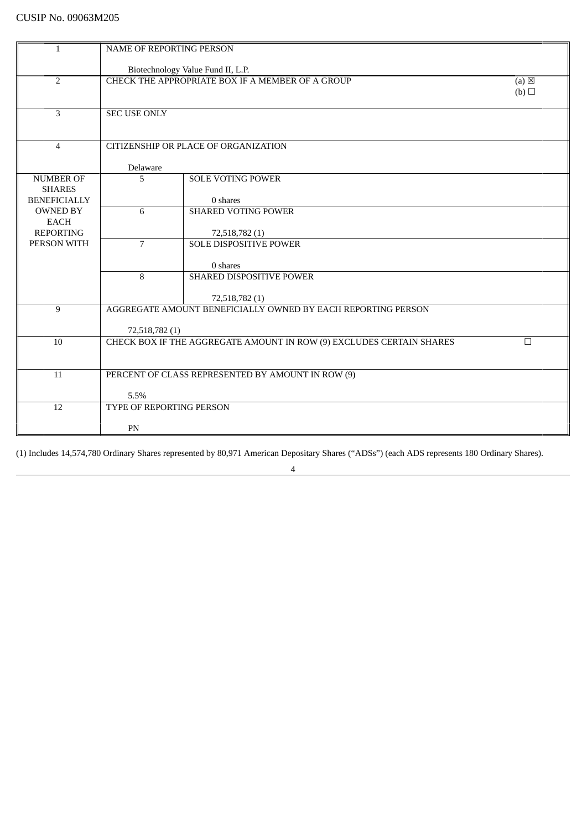| 1                   | <b>NAME OF REPORTING PERSON</b> |                                                                      |                 |
|---------------------|---------------------------------|----------------------------------------------------------------------|-----------------|
|                     |                                 |                                                                      |                 |
|                     |                                 | Biotechnology Value Fund II, L.P.                                    |                 |
| $\overline{2}$      |                                 | CHECK THE APPROPRIATE BOX IF A MEMBER OF A GROUP                     | $(a) \boxtimes$ |
|                     |                                 |                                                                      | (b)             |
| 3                   | <b>SEC USE ONLY</b>             |                                                                      |                 |
|                     |                                 |                                                                      |                 |
|                     |                                 |                                                                      |                 |
| $\overline{4}$      |                                 | CITIZENSHIP OR PLACE OF ORGANIZATION                                 |                 |
|                     |                                 |                                                                      |                 |
| <b>NUMBER OF</b>    | Delaware<br>5                   | <b>SOLE VOTING POWER</b>                                             |                 |
| <b>SHARES</b>       |                                 |                                                                      |                 |
| <b>BENEFICIALLY</b> |                                 | 0 shares                                                             |                 |
| <b>OWNED BY</b>     | 6                               | <b>SHARED VOTING POWER</b>                                           |                 |
| EACH                |                                 |                                                                      |                 |
| <b>REPORTING</b>    |                                 | 72,518,782 (1)                                                       |                 |
| PERSON WITH         | $\overline{7}$                  | <b>SOLE DISPOSITIVE POWER</b>                                        |                 |
|                     |                                 | 0 shares                                                             |                 |
|                     | $\mathbf{8}$                    | SHARED DISPOSITIVE POWER                                             |                 |
|                     |                                 |                                                                      |                 |
|                     |                                 | 72,518,782 (1)                                                       |                 |
| 9                   |                                 | AGGREGATE AMOUNT BENEFICIALLY OWNED BY EACH REPORTING PERSON         |                 |
|                     | 72,518,782 (1)                  |                                                                      |                 |
| 10                  |                                 | CHECK BOX IF THE AGGREGATE AMOUNT IN ROW (9) EXCLUDES CERTAIN SHARES | $\Box$          |
|                     |                                 |                                                                      |                 |
|                     |                                 |                                                                      |                 |
| 11                  |                                 | PERCENT OF CLASS REPRESENTED BY AMOUNT IN ROW (9)                    |                 |
|                     | 5.5%                            |                                                                      |                 |
| 12                  | <b>TYPE OF REPORTING PERSON</b> |                                                                      |                 |
|                     |                                 |                                                                      |                 |
|                     | PN                              |                                                                      |                 |

(1) Includes 14,574,780 Ordinary Shares represented by 80,971 American Depositary Shares ("ADSs") (each ADS represents 180 Ordinary Shares).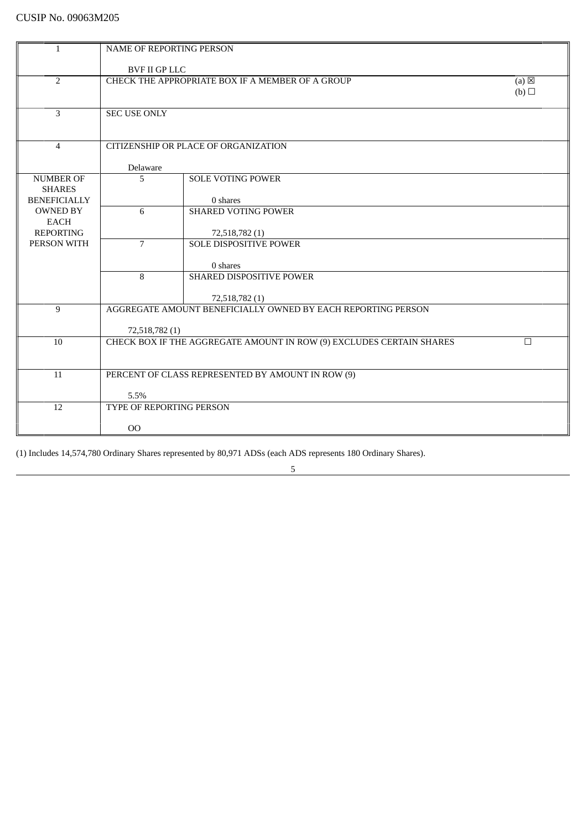| 1                               | <b>NAME OF REPORTING PERSON</b>                                            |                                                                      |   |
|---------------------------------|----------------------------------------------------------------------------|----------------------------------------------------------------------|---|
|                                 | <b>BVF II GP LLC</b>                                                       |                                                                      |   |
| $\overline{2}$                  |                                                                            |                                                                      |   |
|                                 | CHECK THE APPROPRIATE BOX IF A MEMBER OF A GROUP<br>$(a) \boxtimes$<br>(b) |                                                                      |   |
|                                 |                                                                            |                                                                      |   |
| 3                               | <b>SEC USE ONLY</b>                                                        |                                                                      |   |
|                                 |                                                                            |                                                                      |   |
|                                 |                                                                            |                                                                      |   |
| $\overline{4}$                  |                                                                            | CITIZENSHIP OR PLACE OF ORGANIZATION                                 |   |
|                                 |                                                                            |                                                                      |   |
|                                 | Delaware                                                                   |                                                                      |   |
| <b>NUMBER OF</b>                | 5                                                                          | <b>SOLE VOTING POWER</b>                                             |   |
| <b>SHARES</b>                   |                                                                            |                                                                      |   |
| <b>BENEFICIALLY</b>             |                                                                            | 0 shares                                                             |   |
| <b>OWNED BY</b>                 | 6                                                                          | <b>SHARED VOTING POWER</b>                                           |   |
| <b>EACH</b><br><b>REPORTING</b> |                                                                            | 72,518,782 (1)                                                       |   |
| PERSON WITH                     | $\overline{7}$                                                             | <b>SOLE DISPOSITIVE POWER</b>                                        |   |
|                                 |                                                                            |                                                                      |   |
|                                 |                                                                            | 0 shares                                                             |   |
|                                 | 8                                                                          | SHARED DISPOSITIVE POWER                                             |   |
|                                 |                                                                            |                                                                      |   |
|                                 |                                                                            | 72,518,782 (1)                                                       |   |
| 9                               |                                                                            | AGGREGATE AMOUNT BENEFICIALLY OWNED BY EACH REPORTING PERSON         |   |
|                                 |                                                                            |                                                                      |   |
|                                 | 72,518,782 (1)                                                             |                                                                      |   |
| 10                              |                                                                            | CHECK BOX IF THE AGGREGATE AMOUNT IN ROW (9) EXCLUDES CERTAIN SHARES | П |
|                                 |                                                                            |                                                                      |   |
| 11                              |                                                                            | PERCENT OF CLASS REPRESENTED BY AMOUNT IN ROW (9)                    |   |
|                                 |                                                                            |                                                                      |   |
|                                 | 5.5%                                                                       |                                                                      |   |
| 12                              | TYPE OF REPORTING PERSON                                                   |                                                                      |   |
|                                 |                                                                            |                                                                      |   |
|                                 | 00                                                                         |                                                                      |   |

5

<u> 1980 - Johann Barbara, martxa a</u>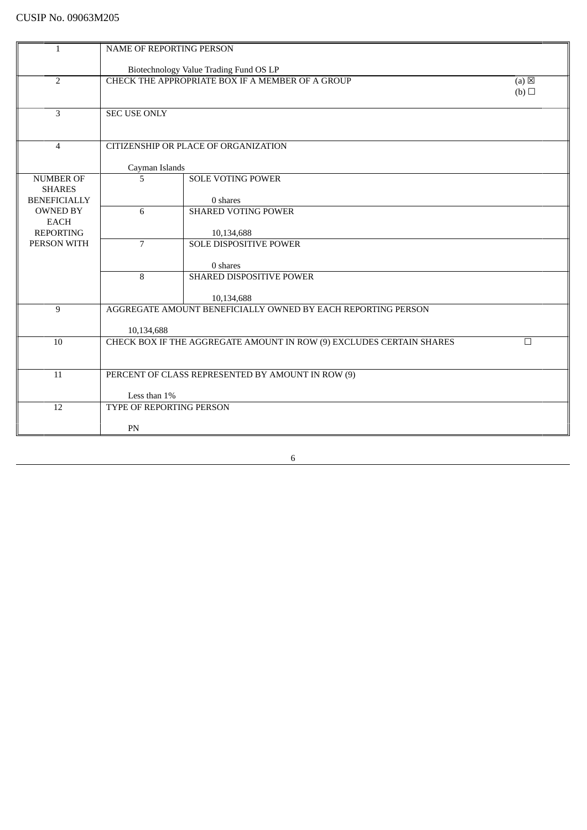| $\mathbf{1}$                    | NAME OF REPORTING PERSON                         |                                                                      |                 |
|---------------------------------|--------------------------------------------------|----------------------------------------------------------------------|-----------------|
|                                 |                                                  |                                                                      |                 |
|                                 |                                                  | Biotechnology Value Trading Fund OS LP                               |                 |
| $\overline{2}$                  | CHECK THE APPROPRIATE BOX IF A MEMBER OF A GROUP |                                                                      | $(a) \boxtimes$ |
|                                 |                                                  |                                                                      | (b)             |
| 3                               | <b>SEC USE ONLY</b>                              |                                                                      |                 |
|                                 |                                                  |                                                                      |                 |
|                                 |                                                  |                                                                      |                 |
| $\overline{4}$                  |                                                  | CITIZENSHIP OR PLACE OF ORGANIZATION                                 |                 |
|                                 | Cayman Islands                                   |                                                                      |                 |
| <b>NUMBER OF</b>                | 5                                                | <b>SOLE VOTING POWER</b>                                             |                 |
| <b>SHARES</b>                   |                                                  |                                                                      |                 |
| <b>BENEFICIALLY</b>             |                                                  | 0 shares                                                             |                 |
| <b>OWNED BY</b>                 | 6                                                | <b>SHARED VOTING POWER</b>                                           |                 |
| <b>EACH</b>                     |                                                  |                                                                      |                 |
| <b>REPORTING</b><br>PERSON WITH | $\overline{7}$                                   | 10,134,688                                                           |                 |
|                                 |                                                  | <b>SOLE DISPOSITIVE POWER</b>                                        |                 |
|                                 |                                                  | 0 shares                                                             |                 |
|                                 | 8                                                | SHARED DISPOSITIVE POWER                                             |                 |
|                                 |                                                  |                                                                      |                 |
|                                 |                                                  | 10,134,688                                                           |                 |
| 9                               |                                                  | AGGREGATE AMOUNT BENEFICIALLY OWNED BY EACH REPORTING PERSON         |                 |
|                                 | 10,134,688                                       |                                                                      |                 |
| 10                              |                                                  | CHECK BOX IF THE AGGREGATE AMOUNT IN ROW (9) EXCLUDES CERTAIN SHARES | $\Box$          |
|                                 |                                                  |                                                                      |                 |
|                                 |                                                  |                                                                      |                 |
| 11                              |                                                  | PERCENT OF CLASS REPRESENTED BY AMOUNT IN ROW (9)                    |                 |
|                                 | Less than 1%                                     |                                                                      |                 |
| 12                              | TYPE OF REPORTING PERSON                         |                                                                      |                 |
|                                 |                                                  |                                                                      |                 |
|                                 | PN                                               |                                                                      |                 |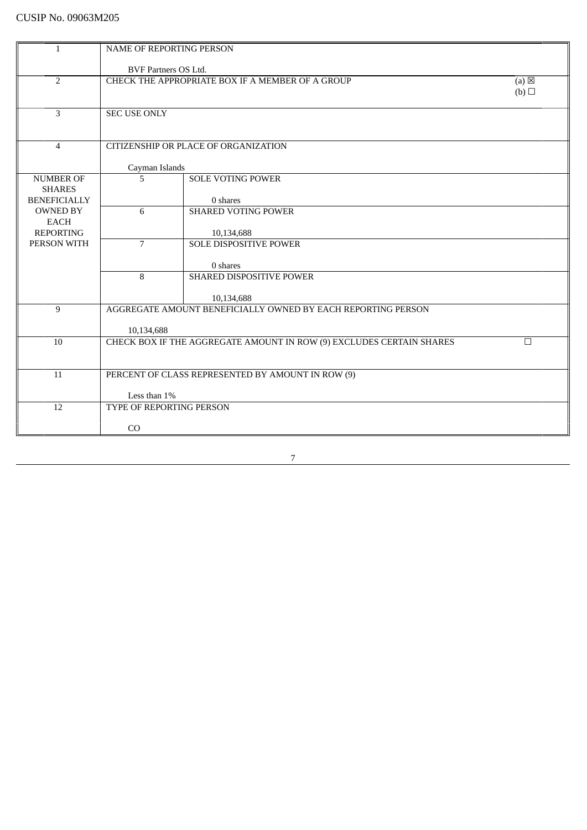| $\mathbf{1}$                         | <b>NAME OF REPORTING PERSON</b> |                                                                      |                 |
|--------------------------------------|---------------------------------|----------------------------------------------------------------------|-----------------|
|                                      |                                 |                                                                      |                 |
|                                      | <b>BVF Partners OS Ltd.</b>     |                                                                      |                 |
| $\overline{2}$                       |                                 | CHECK THE APPROPRIATE BOX IF A MEMBER OF A GROUP                     | $(a) \boxtimes$ |
|                                      |                                 |                                                                      | (b)             |
|                                      |                                 |                                                                      |                 |
| $\overline{3}$                       | <b>SEC USE ONLY</b>             |                                                                      |                 |
|                                      |                                 |                                                                      |                 |
|                                      |                                 |                                                                      |                 |
| $\overline{4}$                       |                                 | CITIZENSHIP OR PLACE OF ORGANIZATION                                 |                 |
|                                      |                                 |                                                                      |                 |
|                                      | Cayman Islands                  |                                                                      |                 |
| <b>NUMBER OF</b>                     | 5                               | <b>SOLE VOTING POWER</b>                                             |                 |
| <b>SHARES</b><br><b>BENEFICIALLY</b> |                                 | 0 shares                                                             |                 |
| <b>OWNED BY</b>                      | 6                               | <b>SHARED VOTING POWER</b>                                           |                 |
| <b>EACH</b>                          |                                 |                                                                      |                 |
| <b>REPORTING</b>                     |                                 | 10,134,688                                                           |                 |
| PERSON WITH                          | $\overline{7}$                  | <b>SOLE DISPOSITIVE POWER</b>                                        |                 |
|                                      |                                 |                                                                      |                 |
|                                      |                                 | 0 shares                                                             |                 |
|                                      | 8                               | SHARED DISPOSITIVE POWER                                             |                 |
|                                      |                                 |                                                                      |                 |
|                                      |                                 | 10,134,688                                                           |                 |
| 9                                    |                                 | AGGREGATE AMOUNT BENEFICIALLY OWNED BY EACH REPORTING PERSON         |                 |
|                                      |                                 |                                                                      |                 |
|                                      | 10,134,688                      |                                                                      |                 |
| 10                                   |                                 | CHECK BOX IF THE AGGREGATE AMOUNT IN ROW (9) EXCLUDES CERTAIN SHARES | $\Box$          |
|                                      |                                 |                                                                      |                 |
|                                      |                                 |                                                                      |                 |
| 11                                   |                                 | PERCENT OF CLASS REPRESENTED BY AMOUNT IN ROW (9)                    |                 |
|                                      |                                 |                                                                      |                 |
|                                      | Less than 1%                    |                                                                      |                 |
| $\overline{12}$                      | TYPE OF REPORTING PERSON        |                                                                      |                 |
|                                      |                                 |                                                                      |                 |
|                                      | CO                              |                                                                      |                 |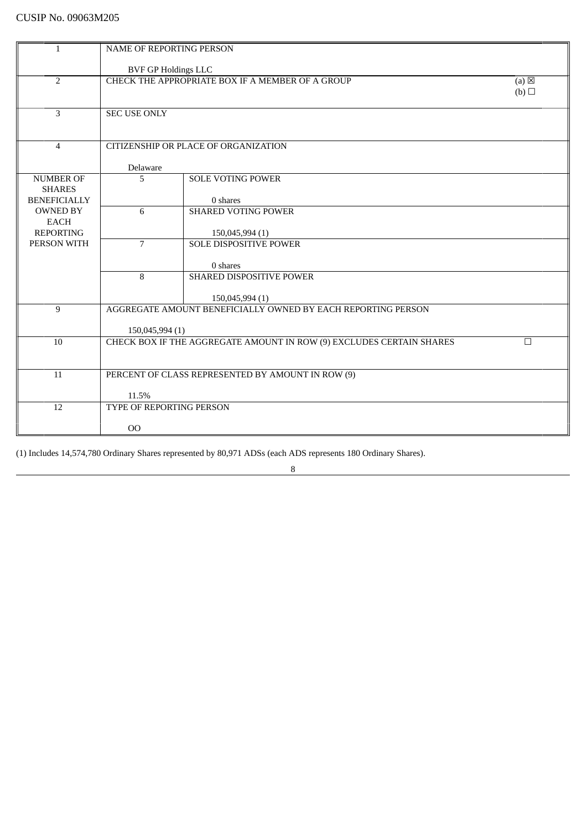| $\mathbf{1}$                      | NAME OF REPORTING PERSON          |                                                                                 |                 |
|-----------------------------------|-----------------------------------|---------------------------------------------------------------------------------|-----------------|
|                                   | BVF GP Holdings LLC               |                                                                                 |                 |
| 2                                 |                                   | CHECK THE APPROPRIATE BOX IF A MEMBER OF A GROUP                                | $(a) \boxtimes$ |
|                                   |                                   |                                                                                 | (b)             |
|                                   |                                   |                                                                                 |                 |
| $\overline{3}$                    | <b>SEC USE ONLY</b>               |                                                                                 |                 |
|                                   |                                   |                                                                                 |                 |
|                                   |                                   |                                                                                 |                 |
| $\overline{4}$                    |                                   | CITIZENSHIP OR PLACE OF ORGANIZATION                                            |                 |
|                                   |                                   |                                                                                 |                 |
|                                   | Delaware                          |                                                                                 |                 |
| <b>NUMBER OF</b><br><b>SHARES</b> | 5                                 | <b>SOLE VOTING POWER</b>                                                        |                 |
| <b>BENEFICIALLY</b>               |                                   | 0 shares                                                                        |                 |
| <b>OWNED BY</b>                   | 6                                 | <b>SHARED VOTING POWER</b>                                                      |                 |
| <b>EACH</b>                       |                                   |                                                                                 |                 |
| <b>REPORTING</b>                  |                                   | 150,045,994 (1)                                                                 |                 |
| PERSON WITH                       | $\overline{7}$                    | <b>SOLE DISPOSITIVE POWER</b>                                                   |                 |
|                                   |                                   |                                                                                 |                 |
|                                   |                                   | 0 shares                                                                        |                 |
|                                   | 8                                 | SHARED DISPOSITIVE POWER                                                        |                 |
|                                   |                                   |                                                                                 |                 |
| 9                                 |                                   | 150,045,994 (1)<br>AGGREGATE AMOUNT BENEFICIALLY OWNED BY EACH REPORTING PERSON |                 |
|                                   |                                   |                                                                                 |                 |
|                                   | 150,045,994 (1)                   |                                                                                 |                 |
| 10                                |                                   | CHECK BOX IF THE AGGREGATE AMOUNT IN ROW (9) EXCLUDES CERTAIN SHARES            | П               |
|                                   |                                   |                                                                                 |                 |
|                                   |                                   |                                                                                 |                 |
| 11                                |                                   | PERCENT OF CLASS REPRESENTED BY AMOUNT IN ROW (9)                               |                 |
|                                   |                                   |                                                                                 |                 |
| 12                                | 11.5%<br>TYPE OF REPORTING PERSON |                                                                                 |                 |
|                                   |                                   |                                                                                 |                 |
|                                   | 00                                |                                                                                 |                 |
|                                   |                                   |                                                                                 |                 |

8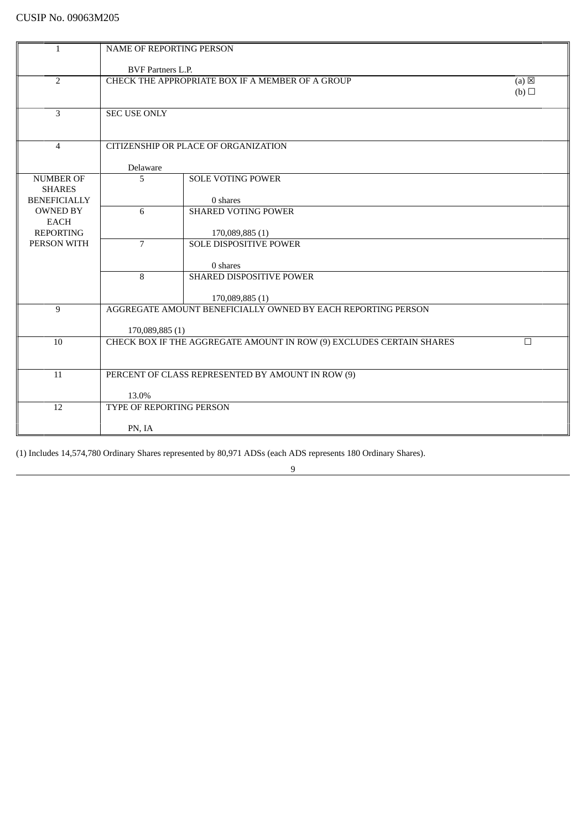| <b>NAME OF REPORTING PERSON</b><br>1<br><b>BVF Partners L.P.</b><br>$\overline{2}$<br>CHECK THE APPROPRIATE BOX IF A MEMBER OF A GROUP<br>$(a) \boxtimes$<br>(b)<br>3<br><b>SEC USE ONLY</b><br>CITIZENSHIP OR PLACE OF ORGANIZATION<br>$\overline{4}$<br>Delaware<br><b>NUMBER OF</b><br>5<br><b>SOLE VOTING POWER</b><br><b>SHARES</b><br><b>BENEFICIALLY</b><br>0 shares<br>6<br><b>SHARED VOTING POWER</b><br><b>OWNED BY</b><br><b>EACH</b><br><b>REPORTING</b><br>170,089,885 (1)<br><b>SOLE DISPOSITIVE POWER</b><br>PERSON WITH<br>$\overline{7}$<br>0 shares<br>8<br>SHARED DISPOSITIVE POWER<br>170,089,885 (1)<br>AGGREGATE AMOUNT BENEFICIALLY OWNED BY EACH REPORTING PERSON<br>9<br>170,089,885 (1)<br>CHECK BOX IF THE AGGREGATE AMOUNT IN ROW (9) EXCLUDES CERTAIN SHARES<br>10<br>П<br>PERCENT OF CLASS REPRESENTED BY AMOUNT IN ROW (9)<br>11<br>13.0%<br>12<br>TYPE OF REPORTING PERSON<br>PN, IA |  |  |
|----------------------------------------------------------------------------------------------------------------------------------------------------------------------------------------------------------------------------------------------------------------------------------------------------------------------------------------------------------------------------------------------------------------------------------------------------------------------------------------------------------------------------------------------------------------------------------------------------------------------------------------------------------------------------------------------------------------------------------------------------------------------------------------------------------------------------------------------------------------------------------------------------------------------|--|--|
|                                                                                                                                                                                                                                                                                                                                                                                                                                                                                                                                                                                                                                                                                                                                                                                                                                                                                                                      |  |  |
|                                                                                                                                                                                                                                                                                                                                                                                                                                                                                                                                                                                                                                                                                                                                                                                                                                                                                                                      |  |  |
|                                                                                                                                                                                                                                                                                                                                                                                                                                                                                                                                                                                                                                                                                                                                                                                                                                                                                                                      |  |  |
|                                                                                                                                                                                                                                                                                                                                                                                                                                                                                                                                                                                                                                                                                                                                                                                                                                                                                                                      |  |  |
|                                                                                                                                                                                                                                                                                                                                                                                                                                                                                                                                                                                                                                                                                                                                                                                                                                                                                                                      |  |  |
|                                                                                                                                                                                                                                                                                                                                                                                                                                                                                                                                                                                                                                                                                                                                                                                                                                                                                                                      |  |  |
|                                                                                                                                                                                                                                                                                                                                                                                                                                                                                                                                                                                                                                                                                                                                                                                                                                                                                                                      |  |  |
|                                                                                                                                                                                                                                                                                                                                                                                                                                                                                                                                                                                                                                                                                                                                                                                                                                                                                                                      |  |  |
|                                                                                                                                                                                                                                                                                                                                                                                                                                                                                                                                                                                                                                                                                                                                                                                                                                                                                                                      |  |  |
|                                                                                                                                                                                                                                                                                                                                                                                                                                                                                                                                                                                                                                                                                                                                                                                                                                                                                                                      |  |  |
|                                                                                                                                                                                                                                                                                                                                                                                                                                                                                                                                                                                                                                                                                                                                                                                                                                                                                                                      |  |  |
|                                                                                                                                                                                                                                                                                                                                                                                                                                                                                                                                                                                                                                                                                                                                                                                                                                                                                                                      |  |  |
|                                                                                                                                                                                                                                                                                                                                                                                                                                                                                                                                                                                                                                                                                                                                                                                                                                                                                                                      |  |  |
|                                                                                                                                                                                                                                                                                                                                                                                                                                                                                                                                                                                                                                                                                                                                                                                                                                                                                                                      |  |  |
|                                                                                                                                                                                                                                                                                                                                                                                                                                                                                                                                                                                                                                                                                                                                                                                                                                                                                                                      |  |  |
|                                                                                                                                                                                                                                                                                                                                                                                                                                                                                                                                                                                                                                                                                                                                                                                                                                                                                                                      |  |  |
|                                                                                                                                                                                                                                                                                                                                                                                                                                                                                                                                                                                                                                                                                                                                                                                                                                                                                                                      |  |  |
|                                                                                                                                                                                                                                                                                                                                                                                                                                                                                                                                                                                                                                                                                                                                                                                                                                                                                                                      |  |  |
|                                                                                                                                                                                                                                                                                                                                                                                                                                                                                                                                                                                                                                                                                                                                                                                                                                                                                                                      |  |  |
|                                                                                                                                                                                                                                                                                                                                                                                                                                                                                                                                                                                                                                                                                                                                                                                                                                                                                                                      |  |  |
|                                                                                                                                                                                                                                                                                                                                                                                                                                                                                                                                                                                                                                                                                                                                                                                                                                                                                                                      |  |  |
|                                                                                                                                                                                                                                                                                                                                                                                                                                                                                                                                                                                                                                                                                                                                                                                                                                                                                                                      |  |  |
|                                                                                                                                                                                                                                                                                                                                                                                                                                                                                                                                                                                                                                                                                                                                                                                                                                                                                                                      |  |  |
|                                                                                                                                                                                                                                                                                                                                                                                                                                                                                                                                                                                                                                                                                                                                                                                                                                                                                                                      |  |  |
|                                                                                                                                                                                                                                                                                                                                                                                                                                                                                                                                                                                                                                                                                                                                                                                                                                                                                                                      |  |  |
|                                                                                                                                                                                                                                                                                                                                                                                                                                                                                                                                                                                                                                                                                                                                                                                                                                                                                                                      |  |  |
|                                                                                                                                                                                                                                                                                                                                                                                                                                                                                                                                                                                                                                                                                                                                                                                                                                                                                                                      |  |  |
|                                                                                                                                                                                                                                                                                                                                                                                                                                                                                                                                                                                                                                                                                                                                                                                                                                                                                                                      |  |  |
|                                                                                                                                                                                                                                                                                                                                                                                                                                                                                                                                                                                                                                                                                                                                                                                                                                                                                                                      |  |  |
|                                                                                                                                                                                                                                                                                                                                                                                                                                                                                                                                                                                                                                                                                                                                                                                                                                                                                                                      |  |  |
|                                                                                                                                                                                                                                                                                                                                                                                                                                                                                                                                                                                                                                                                                                                                                                                                                                                                                                                      |  |  |
|                                                                                                                                                                                                                                                                                                                                                                                                                                                                                                                                                                                                                                                                                                                                                                                                                                                                                                                      |  |  |
|                                                                                                                                                                                                                                                                                                                                                                                                                                                                                                                                                                                                                                                                                                                                                                                                                                                                                                                      |  |  |
|                                                                                                                                                                                                                                                                                                                                                                                                                                                                                                                                                                                                                                                                                                                                                                                                                                                                                                                      |  |  |
|                                                                                                                                                                                                                                                                                                                                                                                                                                                                                                                                                                                                                                                                                                                                                                                                                                                                                                                      |  |  |
|                                                                                                                                                                                                                                                                                                                                                                                                                                                                                                                                                                                                                                                                                                                                                                                                                                                                                                                      |  |  |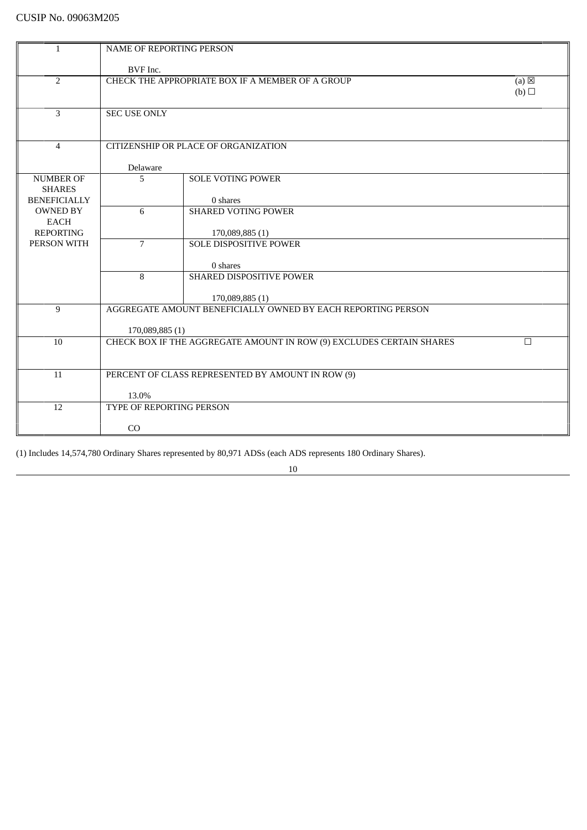| 1                              | <b>NAME OF REPORTING PERSON</b> |                                                                      |                 |  |
|--------------------------------|---------------------------------|----------------------------------------------------------------------|-----------------|--|
|                                |                                 |                                                                      |                 |  |
|                                | BVF Inc.                        |                                                                      |                 |  |
| 2                              |                                 | CHECK THE APPROPRIATE BOX IF A MEMBER OF A GROUP                     | $(a) \boxtimes$ |  |
|                                |                                 |                                                                      | (b)             |  |
| $\overline{3}$                 | <b>SEC USE ONLY</b>             |                                                                      |                 |  |
|                                |                                 |                                                                      |                 |  |
|                                |                                 |                                                                      |                 |  |
| $\overline{4}$                 |                                 | CITIZENSHIP OR PLACE OF ORGANIZATION                                 |                 |  |
|                                | Delaware                        |                                                                      |                 |  |
| <b>NUMBER OF</b>               | 5                               | <b>SOLE VOTING POWER</b>                                             |                 |  |
| <b>SHARES</b>                  |                                 |                                                                      |                 |  |
| <b>BENEFICIALLY</b>            |                                 | 0 shares                                                             |                 |  |
| <b>OWNED BY</b><br><b>EACH</b> | 6                               | <b>SHARED VOTING POWER</b>                                           |                 |  |
| <b>REPORTING</b>               |                                 | 170,089,885(1)                                                       |                 |  |
| PERSON WITH                    | $\overline{7}$                  | <b>SOLE DISPOSITIVE POWER</b>                                        |                 |  |
|                                |                                 |                                                                      |                 |  |
|                                | 8                               | 0 shares<br>SHARED DISPOSITIVE POWER                                 |                 |  |
|                                |                                 |                                                                      |                 |  |
|                                |                                 | 170,089,885(1)                                                       |                 |  |
| 9                              |                                 | AGGREGATE AMOUNT BENEFICIALLY OWNED BY EACH REPORTING PERSON         |                 |  |
|                                |                                 |                                                                      |                 |  |
| 10                             | 170,089,885 (1)                 | CHECK BOX IF THE AGGREGATE AMOUNT IN ROW (9) EXCLUDES CERTAIN SHARES | П               |  |
|                                |                                 |                                                                      |                 |  |
|                                |                                 |                                                                      |                 |  |
| 11                             |                                 | PERCENT OF CLASS REPRESENTED BY AMOUNT IN ROW (9)                    |                 |  |
|                                | 13.0%                           |                                                                      |                 |  |
| 12                             | <b>TYPE OF REPORTING PERSON</b> |                                                                      |                 |  |
|                                |                                 |                                                                      |                 |  |
|                                | CO                              |                                                                      |                 |  |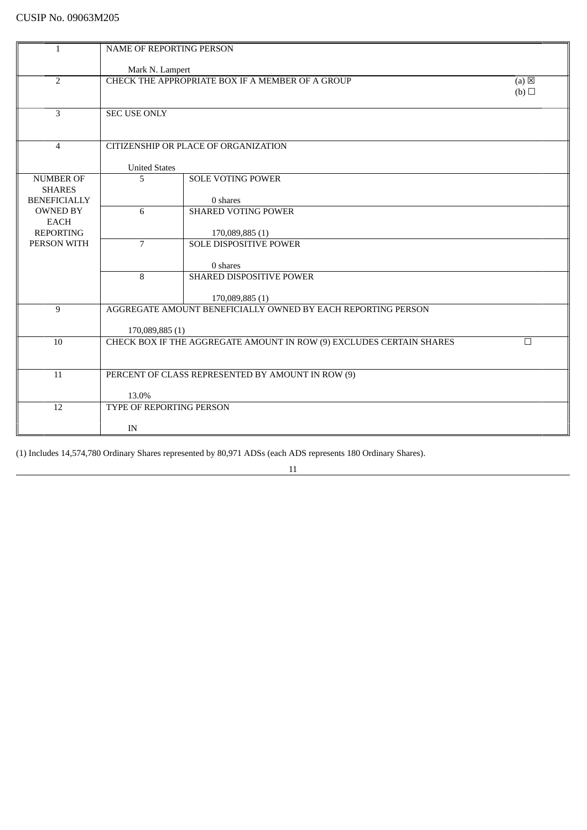| 1                   | NAME OF REPORTING PERSON  |                                                                                |                 |
|---------------------|---------------------------|--------------------------------------------------------------------------------|-----------------|
|                     |                           |                                                                                |                 |
|                     | Mark N. Lampert           |                                                                                |                 |
| $\overline{2}$      |                           | CHECK THE APPROPRIATE BOX IF A MEMBER OF A GROUP                               | $(a) \boxtimes$ |
|                     |                           |                                                                                | (b)             |
| 3                   | <b>SEC USE ONLY</b>       |                                                                                |                 |
|                     |                           |                                                                                |                 |
|                     |                           |                                                                                |                 |
| $\overline{4}$      |                           | CITIZENSHIP OR PLACE OF ORGANIZATION                                           |                 |
|                     |                           |                                                                                |                 |
| <b>NUMBER OF</b>    | <b>United States</b><br>5 | <b>SOLE VOTING POWER</b>                                                       |                 |
| <b>SHARES</b>       |                           |                                                                                |                 |
| <b>BENEFICIALLY</b> |                           | 0 shares                                                                       |                 |
| <b>OWNED BY</b>     | 6                         | <b>SHARED VOTING POWER</b>                                                     |                 |
| <b>EACH</b>         |                           |                                                                                |                 |
| <b>REPORTING</b>    |                           | 170,089,885(1)<br><b>SOLE DISPOSITIVE POWER</b>                                |                 |
| PERSON WITH         | $\overline{7}$            |                                                                                |                 |
|                     |                           | 0 shares                                                                       |                 |
|                     | 8                         | SHARED DISPOSITIVE POWER                                                       |                 |
|                     |                           |                                                                                |                 |
|                     |                           | 170,089,885(1)<br>AGGREGATE AMOUNT BENEFICIALLY OWNED BY EACH REPORTING PERSON |                 |
| 9                   |                           |                                                                                |                 |
|                     | 170,089,885(1)            |                                                                                |                 |
| 10                  |                           | CHECK BOX IF THE AGGREGATE AMOUNT IN ROW (9) EXCLUDES CERTAIN SHARES           | П               |
|                     |                           |                                                                                |                 |
|                     |                           |                                                                                |                 |
| 11                  |                           | PERCENT OF CLASS REPRESENTED BY AMOUNT IN ROW (9)                              |                 |
|                     | 13.0%                     |                                                                                |                 |
| 12                  | TYPE OF REPORTING PERSON  |                                                                                |                 |
|                     |                           |                                                                                |                 |
|                     | IN                        |                                                                                |                 |

11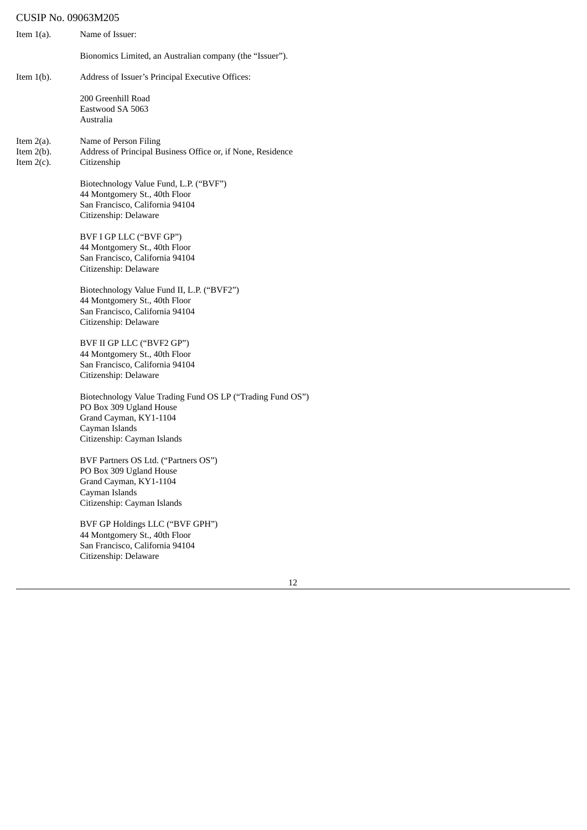| Item $1(a)$ .                                   | Name of Issuer:                                                                                                                                                  |
|-------------------------------------------------|------------------------------------------------------------------------------------------------------------------------------------------------------------------|
|                                                 | Bionomics Limited, an Australian company (the "Issuer").                                                                                                         |
| Item $1(b)$ .                                   | Address of Issuer's Principal Executive Offices:                                                                                                                 |
|                                                 | 200 Greenhill Road<br>Eastwood SA 5063<br>Australia                                                                                                              |
| Item $2(a)$ .<br>Item $2(b)$ .<br>Item $2(c)$ . | Name of Person Filing<br>Address of Principal Business Office or, if None, Residence<br>Citizenship                                                              |
|                                                 | Biotechnology Value Fund, L.P. ("BVF")<br>44 Montgomery St., 40th Floor<br>San Francisco, California 94104<br>Citizenship: Delaware                              |
|                                                 | BVF I GP LLC ("BVF GP")<br>44 Montgomery St., 40th Floor<br>San Francisco, California 94104<br>Citizenship: Delaware                                             |
|                                                 | Biotechnology Value Fund II, L.P. ("BVF2")<br>44 Montgomery St., 40th Floor<br>San Francisco, California 94104<br>Citizenship: Delaware                          |
|                                                 | BVF II GP LLC ("BVF2 GP")<br>44 Montgomery St., 40th Floor<br>San Francisco, California 94104<br>Citizenship: Delaware                                           |
|                                                 | Biotechnology Value Trading Fund OS LP ("Trading Fund OS")<br>PO Box 309 Ugland House<br>Grand Cayman, KY1-1104<br>Cayman Islands<br>Citizenship: Cayman Islands |
|                                                 | BVF Partners OS Ltd. ("Partners OS")<br>PO Box 309 Ugland House<br>Grand Cayman, KY1-1104<br>Cayman Islands<br>Citizenship: Cayman Islands                       |
|                                                 | BVF GP Holdings LLC ("BVF GPH")<br>44 Montgomery St., 40th Floor<br>San Francisco, California 94104                                                              |

Citizenship: Delaware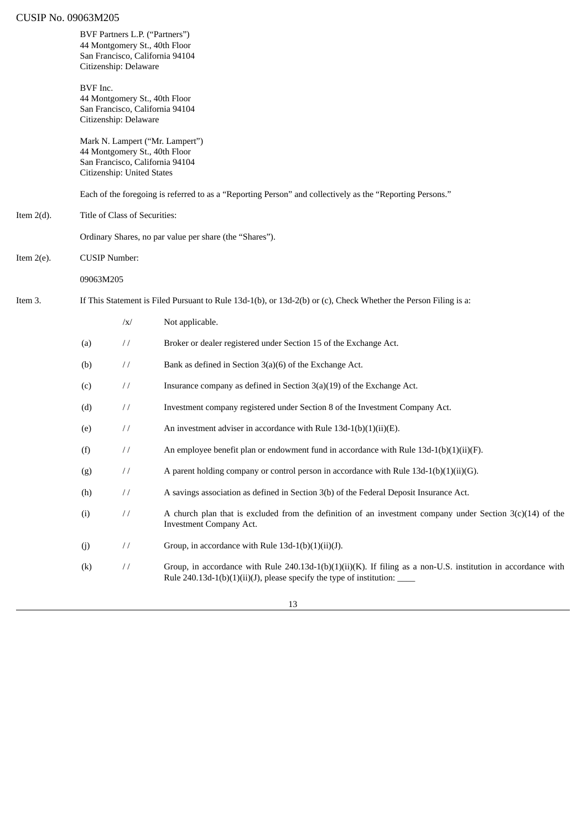|               |                                                                                                                 | Citizenship: Delaware         | BVF Partners L.P. ("Partners")<br>44 Montgomery St., 40th Floor<br>San Francisco, California 94104                                                                                          |  |
|---------------|-----------------------------------------------------------------------------------------------------------------|-------------------------------|---------------------------------------------------------------------------------------------------------------------------------------------------------------------------------------------|--|
|               | BVF Inc.                                                                                                        | Citizenship: Delaware         | 44 Montgomery St., 40th Floor<br>San Francisco, California 94104                                                                                                                            |  |
|               |                                                                                                                 | Citizenship: United States    | Mark N. Lampert ("Mr. Lampert")<br>44 Montgomery St., 40th Floor<br>San Francisco, California 94104                                                                                         |  |
|               |                                                                                                                 |                               | Each of the foregoing is referred to as a "Reporting Person" and collectively as the "Reporting Persons."                                                                                   |  |
| Item $2(d)$ . |                                                                                                                 | Title of Class of Securities: |                                                                                                                                                                                             |  |
|               |                                                                                                                 |                               | Ordinary Shares, no par value per share (the "Shares").                                                                                                                                     |  |
| Item $2(e)$ . | <b>CUSIP Number:</b>                                                                                            |                               |                                                                                                                                                                                             |  |
|               | 09063M205                                                                                                       |                               |                                                                                                                                                                                             |  |
| Item 3.       | If This Statement is Filed Pursuant to Rule 13d-1(b), or 13d-2(b) or (c), Check Whether the Person Filing is a: |                               |                                                                                                                                                                                             |  |
|               |                                                                                                                 | $\sqrt{x}$                    | Not applicable.                                                                                                                                                                             |  |
|               | (a)                                                                                                             | $\frac{1}{2}$                 | Broker or dealer registered under Section 15 of the Exchange Act.                                                                                                                           |  |
|               | (b)                                                                                                             | $\frac{1}{2}$                 | Bank as defined in Section 3(a)(6) of the Exchange Act.                                                                                                                                     |  |
|               | (c)                                                                                                             | $\frac{1}{2}$                 | Insurance company as defined in Section $3(a)(19)$ of the Exchange Act.                                                                                                                     |  |
|               | (d)                                                                                                             | $\frac{1}{2}$                 | Investment company registered under Section 8 of the Investment Company Act.                                                                                                                |  |
|               | (e)                                                                                                             | $\frac{1}{2}$                 | An investment adviser in accordance with Rule 13d-1(b)(1)(ii)(E).                                                                                                                           |  |
|               | (f)                                                                                                             | $\frac{1}{2}$                 | An employee benefit plan or endowment fund in accordance with Rule $13d-1(b)(1)(ii)(F)$ .                                                                                                   |  |
|               | (g)                                                                                                             | $\frac{1}{2}$                 | A parent holding company or control person in accordance with Rule 13d-1(b)(1)(ii)(G).                                                                                                      |  |
|               | (h)                                                                                                             | $\!\!/\!\!/\!\!$              | A savings association as defined in Section 3(b) of the Federal Deposit Insurance Act.                                                                                                      |  |
|               | (i)                                                                                                             | $\frac{1}{2}$                 | A church plan that is excluded from the definition of an investment company under Section $3(c)(14)$ of the<br><b>Investment Company Act.</b>                                               |  |
|               | (j)                                                                                                             | $\frac{1}{2}$                 | Group, in accordance with Rule 13d-1(b)(1)(ii)(J).                                                                                                                                          |  |
|               | $\left( k\right)$                                                                                               | $\frac{1}{2}$                 | Group, in accordance with Rule 240.13d-1(b)(1)(ii)(K). If filing as a non-U.S. institution in accordance with<br>Rule 240.13d-1(b)(1)(ii)(J), please specify the type of institution: _____ |  |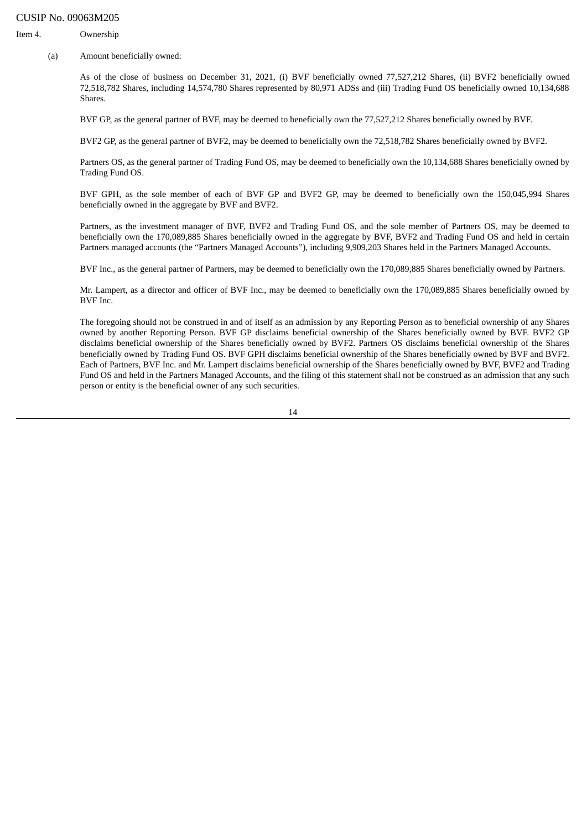Item 4. Ownership

(a) Amount beneficially owned:

As of the close of business on December 31, 2021, (i) BVF beneficially owned 77,527,212 Shares, (ii) BVF2 beneficially owned 72,518,782 Shares, including 14,574,780 Shares represented by 80,971 ADSs and (iii) Trading Fund OS beneficially owned 10,134,688 Shares.

BVF GP, as the general partner of BVF, may be deemed to beneficially own the 77,527,212 Shares beneficially owned by BVF.

BVF2 GP, as the general partner of BVF2, may be deemed to beneficially own the 72,518,782 Shares beneficially owned by BVF2.

Partners OS, as the general partner of Trading Fund OS, may be deemed to beneficially own the 10,134,688 Shares beneficially owned by Trading Fund OS.

BVF GPH, as the sole member of each of BVF GP and BVF2 GP, may be deemed to beneficially own the 150,045,994 Shares beneficially owned in the aggregate by BVF and BVF2.

Partners, as the investment manager of BVF, BVF2 and Trading Fund OS, and the sole member of Partners OS, may be deemed to beneficially own the 170,089,885 Shares beneficially owned in the aggregate by BVF, BVF2 and Trading Fund OS and held in certain Partners managed accounts (the "Partners Managed Accounts"), including 9,909,203 Shares held in the Partners Managed Accounts.

BVF Inc., as the general partner of Partners, may be deemed to beneficially own the 170,089,885 Shares beneficially owned by Partners.

Mr. Lampert, as a director and officer of BVF Inc., may be deemed to beneficially own the 170,089,885 Shares beneficially owned by BVF Inc.

The foregoing should not be construed in and of itself as an admission by any Reporting Person as to beneficial ownership of any Shares owned by another Reporting Person. BVF GP disclaims beneficial ownership of the Shares beneficially owned by BVF. BVF2 GP disclaims beneficial ownership of the Shares beneficially owned by BVF2. Partners OS disclaims beneficial ownership of the Shares beneficially owned by Trading Fund OS. BVF GPH disclaims beneficial ownership of the Shares beneficially owned by BVF and BVF2. Each of Partners, BVF Inc. and Mr. Lampert disclaims beneficial ownership of the Shares beneficially owned by BVF, BVF2 and Trading Fund OS and held in the Partners Managed Accounts, and the filing of this statement shall not be construed as an admission that any such person or entity is the beneficial owner of any such securities.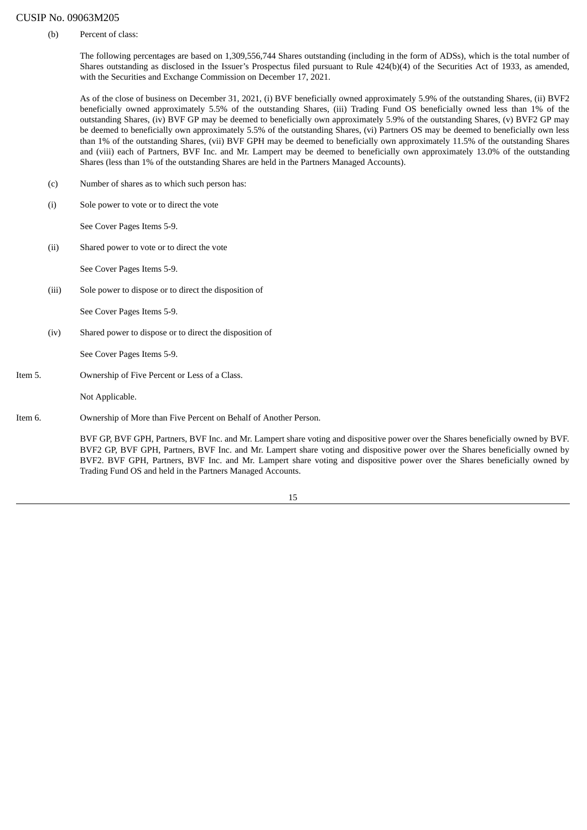(b) Percent of class:

The following percentages are based on 1,309,556,744 Shares outstanding (including in the form of ADSs), which is the total number of Shares outstanding as disclosed in the Issuer's Prospectus filed pursuant to Rule 424(b)(4) of the Securities Act of 1933, as amended, with the Securities and Exchange Commission on December 17, 2021.

As of the close of business on December 31, 2021, (i) BVF beneficially owned approximately 5.9% of the outstanding Shares, (ii) BVF2 beneficially owned approximately 5.5% of the outstanding Shares, (iii) Trading Fund OS beneficially owned less than 1% of the outstanding Shares, (iv) BVF GP may be deemed to beneficially own approximately 5.9% of the outstanding Shares, (v) BVF2 GP may be deemed to beneficially own approximately 5.5% of the outstanding Shares, (vi) Partners OS may be deemed to beneficially own less than 1% of the outstanding Shares, (vii) BVF GPH may be deemed to beneficially own approximately 11.5% of the outstanding Shares and (viii) each of Partners, BVF Inc. and Mr. Lampert may be deemed to beneficially own approximately 13.0% of the outstanding Shares (less than 1% of the outstanding Shares are held in the Partners Managed Accounts).

- (c) Number of shares as to which such person has:
- (i) Sole power to vote or to direct the vote

See Cover Pages Items 5-9.

(ii) Shared power to vote or to direct the vote

See Cover Pages Items 5-9.

(iii) Sole power to dispose or to direct the disposition of

See Cover Pages Items 5-9.

(iv) Shared power to dispose or to direct the disposition of

See Cover Pages Items 5-9.

Item 5. Ownership of Five Percent or Less of a Class.

Not Applicable.

Item 6. Ownership of More than Five Percent on Behalf of Another Person.

BVF GP, BVF GPH, Partners, BVF Inc. and Mr. Lampert share voting and dispositive power over the Shares beneficially owned by BVF. BVF2 GP, BVF GPH, Partners, BVF Inc. and Mr. Lampert share voting and dispositive power over the Shares beneficially owned by BVF2. BVF GPH, Partners, BVF Inc. and Mr. Lampert share voting and dispositive power over the Shares beneficially owned by Trading Fund OS and held in the Partners Managed Accounts.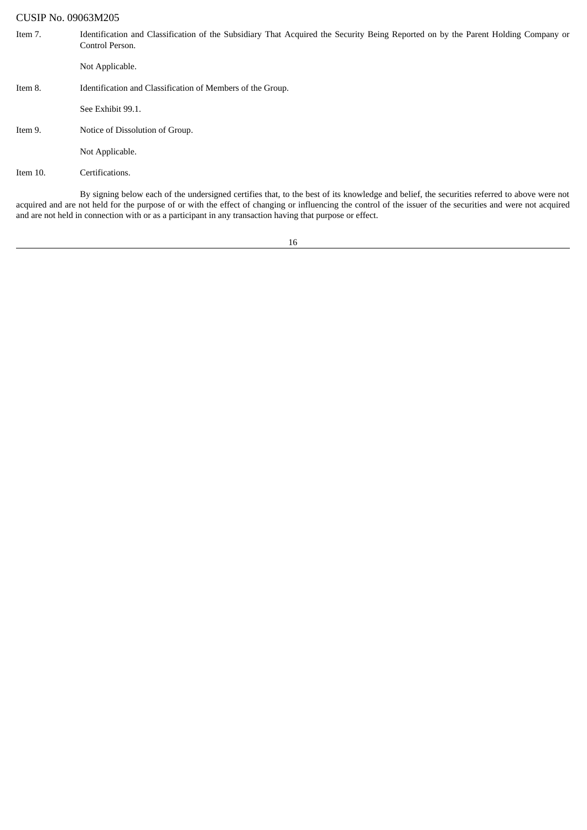| Item 7.     | Identification and Classification of the Subsidiary That Acquired the Security Being Reported on by the Parent Holding Company or<br>Control Person.                                                                                                                                                        |
|-------------|-------------------------------------------------------------------------------------------------------------------------------------------------------------------------------------------------------------------------------------------------------------------------------------------------------------|
|             | Not Applicable.                                                                                                                                                                                                                                                                                             |
| Item 8.     | Identification and Classification of Members of the Group.                                                                                                                                                                                                                                                  |
|             | See Exhibit 99.1.                                                                                                                                                                                                                                                                                           |
| Item 9.     | Notice of Dissolution of Group.                                                                                                                                                                                                                                                                             |
|             | Not Applicable.                                                                                                                                                                                                                                                                                             |
| Item $10$ . | Certifications.                                                                                                                                                                                                                                                                                             |
|             | By signing below each of the undersigned certifies that, to the best of its knowledge and belief, the securities referred to above were not<br>acquired and are not held for the purpose of or with the effect of changing or influencing the control of the issuer of the securities and were not acquired |

16

and are not held in connection with or as a participant in any transaction having that purpose or effect.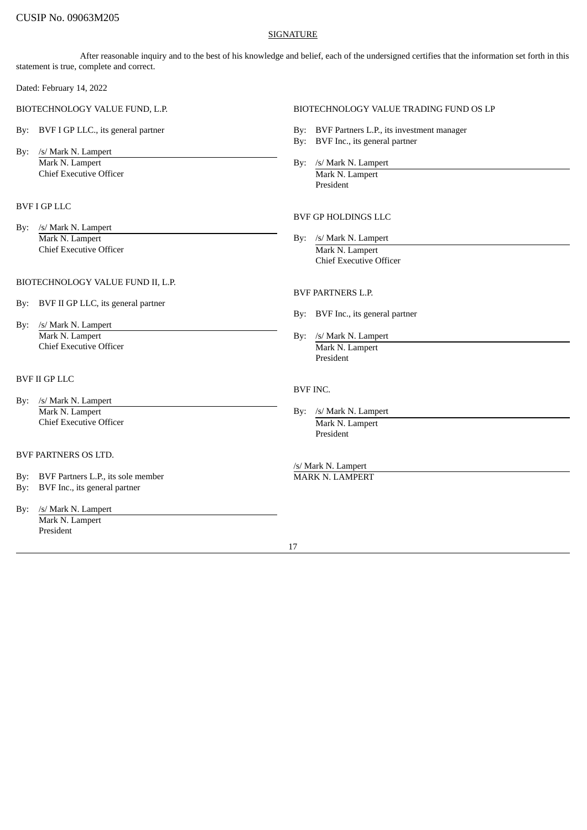## SIGNATURE

After reasonable inquiry and to the best of his knowledge and belief, each of the undersigned certifies that the information set forth in this statement is true, complete and correct.

Dated: February 14, 2022

By: /s/ Mark N. Lampert Mark N. Lampert By: /s/ Mark N. Lampert By: /s/ Mark N. Lampert **Chief Executive Officer Chief Executive Officer Chief Executive Officer Chief Executive Officer Chief Archives And Archives Archives Archives Archives Archives Archives Archives Archives Archives Archives Archives Archive** 

## BVF I GP LLC

By: /s/ Mark N. Lampert Mark N. Lampert By: /s/ Mark N. Lampert **Chief Executive Officer** Mark N. Lampert

### BIOTECHNOLOGY VALUE FUND II, L.P.

- By: BVF II GP LLC, its general partner
- By: /s/ Mark N. Lampert Mark N. Lampert By: /s/ Mark N. Lampert Chief Executive Officer **Mark N. Lampert** Mark N. Lampert

## BVF II GP LLC

- By: /s/ Mark N. Lampert Mark N. Lampert By: /s/ Mark N. Lampert By: /s/ Mark N. Lampert Chief Executive Officer **Mark N. Lampert** Mark N. Lampert
- BVF PARTNERS OS LTD.
- By: BVF Partners L.P., its sole member MARK N. LAMPERT
- By: BVF Inc., its general partner
- By: /s/ Mark N. Lampert Mark N. Lampert President

### BIOTECHNOLOGY VALUE FUND, L.P. BIOTECHNOLOGY VALUE TRADING FUND OS LP

- By: BVF I GP LLC., its general partner **By: BVF Partners L.P.**, its investment manager
	- By: BVF Inc., its general partner
	-

President

## BVF GP HOLDINGS LLC

Chief Executive Officer

### BVF PARTNERS L.P.

- By: BVF Inc., its general partner
- President

#### BVF INC.

- - President

/s/ Mark N. Lampert